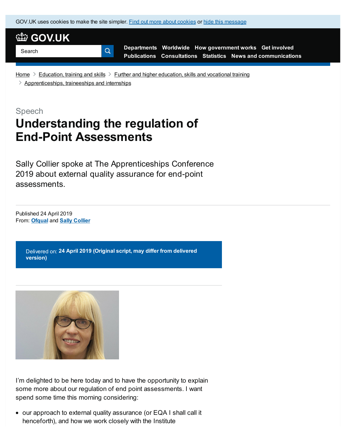GOV.UK uses [cookies](https://www.gov.uk/help/cookies) to make the site simpler. Find out more about cookies or hide this message



**[Departments](https://www.gov.uk/government/organisations) [Worldwide](https://www.gov.uk/government/world) How [government](https://www.gov.uk/government/how-government-works) works Get [involved](https://www.gov.uk/government/get-involved) [Publications](https://www.gov.uk/government/publications) [Consultations](https://www.gov.uk/search/policy-papers-and-consultations?content_store_document_type%5B%5D=open_consultations&content_store_document_type%5B%5D=closed_consultations) [Statistics](https://www.gov.uk/government/statistics) News and [communications](https://www.gov.uk/news-and-communications)**

[Home](https://www.gov.uk/)  $\geq$  [Education,](https://www.gov.uk/education) training and skills  $\geq$  Further and higher [education,](https://www.gov.uk/education/further-and-higher-education-skills-and-vocational-training) skills and vocational training

 $\geq$  [Apprenticeships,](https://www.gov.uk/education/apprenticeships-traineeships-and-internships) traineeships and internships

Speech

# **Understanding the regulation of End-Point Assessments**

Q.

Sally Collier spoke at The Apprenticeships Conference 2019 about external quality assurance for end-point assessments.

From: **[Ofqual](https://www.gov.uk/government/organisations/ofqual)** and **Sally [Collier](https://www.gov.uk/government/people/sally-collier)** Published 24 April 2019

> Delivered on: **24 April 2019 (Original script, may differ from delivered version)**



I'm delighted to be here today and to have the opportunity to explain some more about our regulation of end point assessments. I want spend some time this morning considering:

our approach to external quality assurance (or EQA I shall call it henceforth), and how we work closely with the Institute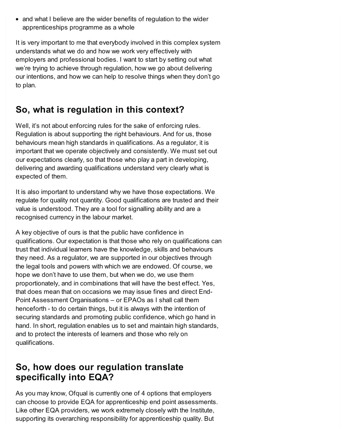• and what I believe are the wider benefits of regulation to the wider apprenticeships programme as a whole

It is very important to me that everybody involved in this complex system understands what we do and how we work very effectively with employers and professional bodies. I want to start by setting out what we're trying to achieve through regulation, how we go about delivering our intentions, and how we can help to resolve things when they don't go to plan.

# **So, what is regulation in this context?**

Well, it's not about enforcing rules for the sake of enforcing rules. Regulation is about supporting the right behaviours. And for us, those behaviours mean high standards in qualifications. As a regulator, it is important that we operate objectively and consistently. We must set out our expectations clearly, so that those who play a part in developing, delivering and awarding qualifications understand very clearly what is expected of them.

It is also important to understand why we have those expectations. We regulate for quality not quantity. Good qualifications are trusted and their value is understood. They are a tool for signalling ability and are a recognised currency in the labour market.

A key objective of ours is that the public have confidence in qualifications. Our expectation is that those who rely on qualifications can trust that individual learners have the knowledge, skills and behaviours they need. As a regulator, we are supported in our objectives through the legal tools and powers with which we are endowed. Of course, we hope we don't have to use them, but when we do, we use them proportionately, and in combinations that will have the best effect. Yes, that does mean that on occasions we may issue fines and direct End-Point Assessment Organisations – or EPAOs as I shall call them henceforth - to do certain things, but it is always with the intention of securing standards and promoting public confidence, which go hand in hand. In short, regulation enables us to set and maintain high standards, and to protect the interests of learners and those who rely on qualifications.

# **So, how does our regulation translate specifically into EQA?**

As you may know, Ofqual is currently one of 4 options that employers can choose to provide EQA for apprenticeship end point assessments. Like other EQA providers, we work extremely closely with the Institute, supporting its overarching responsibility for apprenticeship quality. But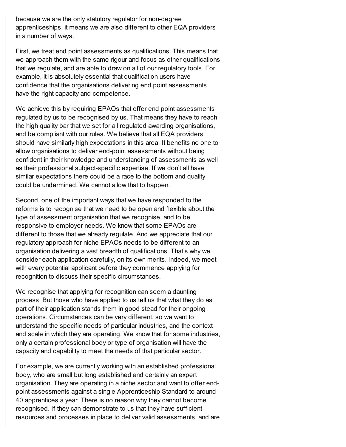because we are the only statutory regulator for non-degree apprenticeships, it means we are also different to other EQA providers in a number of ways.

First, we treat end point assessments as qualifications. This means that we approach them with the same rigour and focus as other qualifications that we regulate, and are able to draw on all of our regulatory tools. For example, it is absolutely essential that qualification users have confidence that the organisations delivering end point assessments have the right capacity and competence.

We achieve this by requiring EPAOs that offer end point assessments regulated by us to be recognised by us. That means they have to reach the high quality bar that we set for all regulated awarding organisations, and be compliant with our rules. We believe that all EQA providers should have similarly high expectations in this area. It benefits no one to allow organisations to deliver end-point assessments without being confident in their knowledge and understanding of assessments as well as their professional subject-specific expertise. If we don't all have similar expectations there could be a race to the bottom and quality could be undermined. We cannot allow that to happen.

Second, one of the important ways that we have responded to the reforms is to recognise that we need to be open and flexible about the type of assessment organisation that we recognise, and to be responsive to employer needs. We know that some EPAOs are different to those that we already regulate. And we appreciate that our regulatory approach for niche EPAOs needs to be different to an organisation delivering a vast breadth of qualifications. That's why we consider each application carefully, on its own merits. Indeed, we meet with every potential applicant before they commence applying for recognition to discuss their specific circumstances.

We recognise that applying for recognition can seem a daunting process. But those who have applied to us tell us that what they do as part of their application stands them in good stead for their ongoing operations. Circumstances can be very different, so we want to understand the specific needs of particular industries, and the context and scale in which they are operating. We know that for some industries, only a certain professional body or type of organisation will have the capacity and capability to meet the needs of that particular sector.

For example, we are currently working with an established professional body, who are small but long established and certainly an expert organisation. They are operating in a niche sector and want to offer endpoint assessments against a single Apprenticeship Standard to around 40 apprentices a year. There is no reason why they cannot become recognised. If they can demonstrate to us that they have sufficient resources and processes in place to deliver valid assessments, and are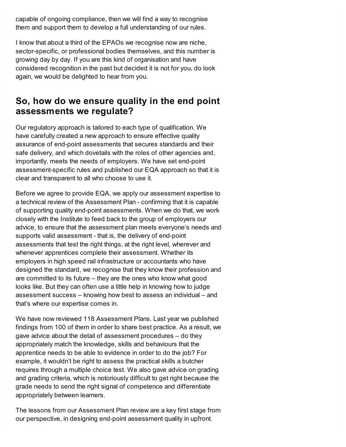capable of ongoing compliance, then we will find a way to recognise them and support them to develop a full understanding of our rules.

I know that about a third of the EPAOs we recognise now are niche, sector-specific, or professional bodies themselves, and this number is growing day by day. If you are this kind of organisation and have considered recognition in the past but decided it is not for you, do look again, we would be delighted to hear from you.

## **So, how do we ensure quality in the end point assessments we regulate?**

Our regulatory approach is tailored to each type of qualification. We have carefully created a new approach to ensure effective quality assurance of end-point assessments that secures standards and their safe delivery, and which dovetails with the roles of other agencies and, importantly, meets the needs of employers. We have set end-point assessment-specific rules and published our EQA approach so that it is clear and transparent to all who choose to use it.

Before we agree to provide EQA, we apply our assessment expertise to a technical review of the Assessment Plan - confirming that it is capable of supporting quality end-point assessments. When we do that, we work closely with the Institute to feed back to the group of employers our advice, to ensure that the assessment plan meets everyone's needs and supports valid assessment - that is, the delivery of end-point assessments that test the right things, at the right level, wherever and whenever apprentices complete their assessment. Whether its employers in high speed rail infrastructure or accountants who have designed the standard, we recognise that they know their profession and are committed to its future – they are the ones who know what good looks like. But they can often use a little help in knowing how to judge assessment success – knowing how best to assess an individual – and that's where our expertise comes in.

We have now reviewed 118 Assessment Plans. Last year we published findings from 100 of them in order to share best practice. As a result, we gave advice about the detail of assessment procedures – do they appropriately match the knowledge, skills and behaviours that the apprentice needs to be able to evidence in order to do the job? For example, it wouldn't be right to assess the practical skills a butcher requires through a multiple choice test. We also gave advice on grading and grading criteria, which is notoriously difficult to get right because the grade needs to send the right signal of competence and differentiate appropriately between learners.

The lessons from our Assessment Plan review are a key first stage from our perspective, in designing end-point assessment quality in upfront.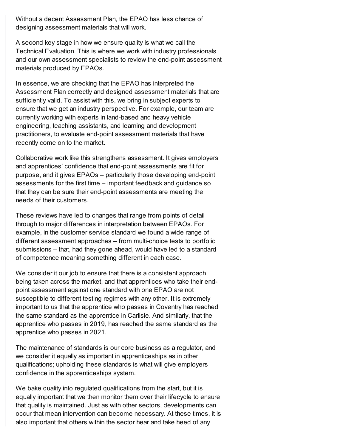Without a decent Assessment Plan, the EPAO has less chance of designing assessment materials that will work.

A second key stage in how we ensure quality is what we call the Technical Evaluation. This is where we work with industry professionals and our own assessment specialists to review the end-point assessment materials produced by EPAOs.

In essence, we are checking that the EPAO has interpreted the Assessment Plan correctly and designed assessment materials that are sufficiently valid. To assist with this, we bring in subject experts to ensure that we get an industry perspective. For example, our team are currently working with experts in land-based and heavy vehicle engineering, teaching assistants, and learning and development practitioners, to evaluate end-point assessment materials that have recently come on to the market.

Collaborative work like this strengthens assessment. It gives employers and apprentices' confidence that end-point assessments are fit for purpose, and it gives EPAOs – particularly those developing end-point assessments for the first time – important feedback and guidance so that they can be sure their end-point assessments are meeting the needs of their customers.

These reviews have led to changes that range from points of detail through to major differences in interpretation between EPAOs. For example, in the customer service standard we found a wide range of different assessment approaches – from multi-choice tests to portfolio submissions – that, had they gone ahead, would have led to a standard of competence meaning something different in each case.

We consider it our job to ensure that there is a consistent approach being taken across the market, and that apprentices who take their endpoint assessment against one standard with one EPAO are not susceptible to different testing regimes with any other. It is extremely important to us that the apprentice who passes in Coventry has reached the same standard as the apprentice in Carlisle. And similarly, that the apprentice who passes in 2019, has reached the same standard as the apprentice who passes in 2021.

The maintenance of standards is our core business as a regulator, and we consider it equally as important in apprenticeships as in other qualifications; upholding these standards is what will give employers confidence in the apprenticeships system.

We bake quality into regulated qualifications from the start, but it is equally important that we then monitor them over their lifecycle to ensure that quality is maintained. Just as with other sectors, developments can occur that mean intervention can become necessary. At these times, it is also important that others within the sector hear and take heed of any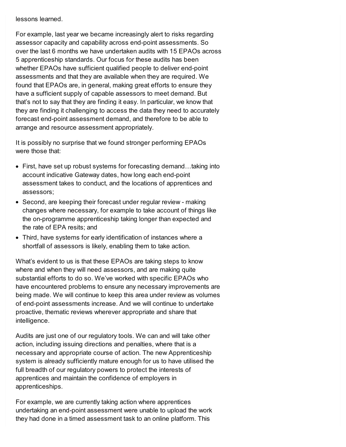lessons learned.

For example, last year we became increasingly alert to risks regarding assessor capacity and capability across end-point assessments. So over the last 6 months we have undertaken audits with 15 EPAOs across 5 apprenticeship standards. Our focus for these audits has been whether EPAOs have sufficient qualified people to deliver end-point assessments and that they are available when they are required. We found that EPAOs are, in general, making great efforts to ensure they have a sufficient supply of capable assessors to meet demand. But that's not to say that they are finding it easy. In particular, we know that they are finding it challenging to access the data they need to accurately forecast end-point assessment demand, and therefore to be able to arrange and resource assessment appropriately.

It is possibly no surprise that we found stronger performing EPAOs were those that:

- First, have set up robust systems for forecasting demand…taking into account indicative Gateway dates, how long each end-point assessment takes to conduct, and the locations of apprentices and assessors;
- Second, are keeping their forecast under regular review making changes where necessary, for example to take account of things like the on-programme apprenticeship taking longer than expected and the rate of EPA resits; and
- Third, have systems for early identification of instances where a shortfall of assessors is likely, enabling them to take action.

What's evident to us is that these EPAOs are taking steps to know where and when they will need assessors, and are making quite substantial efforts to do so. We've worked with specific EPAOs who have encountered problems to ensure any necessary improvements are being made. We will continue to keep this area under review as volumes of end-point assessments increase. And we will continue to undertake proactive, thematic reviews wherever appropriate and share that intelligence.

Audits are just one of our regulatory tools. We can and will take other action, including issuing directions and penalties, where that is a necessary and appropriate course of action. The new Apprenticeship system is already sufficiently mature enough for us to have utilised the full breadth of our regulatory powers to protect the interests of apprentices and maintain the confidence of employers in apprenticeships.

For example, we are currently taking action where apprentices undertaking an end-point assessment were unable to upload the work they had done in a timed assessment task to an online platform. This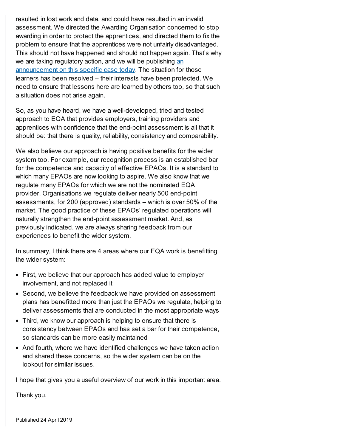resulted in lost work and data, and could have resulted in an invalid assessment. We directed the Awarding Organisation concerned to stop awarding in order to protect the apprentices, and directed them to fix the problem to ensure that the apprentices were not unfairly disadvantaged. This should not have happened and should not happen again. That's why we are taking regulatory action, and we will be publishing an [announcement](https://www.gov.uk/government/publications/notice-of-intention-to-impose-a-monetary-penalty-cilex) on this specific case today. The situation for those learners has been resolved – their interests have been protected. We need to ensure that lessons here are learned by others too, so that such a situation does not arise again.

So, as you have heard, we have a well-developed, tried and tested approach to EQA that provides employers, training providers and apprentices with confidence that the end-point assessment is all that it should be: that there is quality, reliability, consistency and comparability.

We also believe our approach is having positive benefits for the wider system too. For example, our recognition process is an established bar for the competence and capacity of effective EPAOs. It is a standard to which many EPAOs are now looking to aspire. We also know that we regulate many EPAOs for which we are not the nominated EQA provider. Organisations we regulate deliver nearly 500 end-point assessments, for 200 (approved) standards – which is over 50% of the market. The good practice of these EPAOs' regulated operations will naturally strengthen the end-point assessment market. And, as previously indicated, we are always sharing feedback from our experiences to benefit the wider system.

In summary, I think there are 4 areas where our EQA work is benefitting the wider system:

- First, we believe that our approach has added value to employer involvement, and not replaced it
- Second, we believe the feedback we have provided on assessment plans has benefitted more than just the EPAOs we regulate, helping to deliver assessments that are conducted in the most appropriate ways
- Third, we know our approach is helping to ensure that there is consistency between EPAOs and has set a bar for their competence, so standards can be more easily maintained
- And fourth, where we have identified challenges we have taken action and shared these concerns, so the wider system can be on the lookout for similar issues.

I hope that gives you a useful overview of our work in this important area.

Thank you.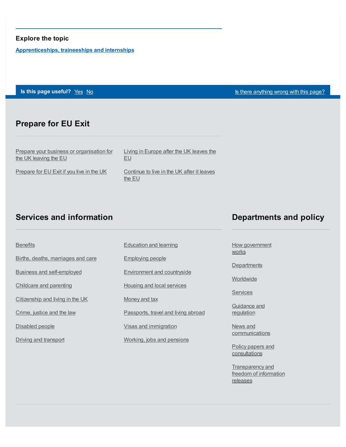#### **Explore the topic**

**[Apprenticeships,](https://www.gov.uk/education/apprenticeships-traineeships-and-internships) traineeships and internships**

**Is this page useful?** [Yes](https://www.gov.uk/contact/govuk) [No](https://www.gov.uk/contact/govuk) Is the Magnetic Control of the Magnetic Section 1 is the [anything](https://www.gov.uk/contact/govuk) wrong with this page?

### **Prepare for EU Exit**

Prepare your business or [organisation](https://www.gov.uk/business-uk-leaving-eu) for the UK leaving the EU

Living in [Europe](https://www.gov.uk/uk-nationals-living-eu) after the UK leaves the EU

[Prepare](https://www.gov.uk/prepare-eu-exit) for EU Exit if you live in the UK

[Continue](https://www.gov.uk/staying-uk-eu-citizen) to live in the UK after it leaves the EU

### **Services and information**

### **Departments and policy**

Births, deaths, [marriages](https://www.gov.uk/browse/births-deaths-marriages) and care Business and [self-employed](https://www.gov.uk/browse/business) [Childcare](https://www.gov.uk/browse/childcare-parenting) and parenting

**[Benefits](https://www.gov.uk/browse/benefits)** 

[Citizenship](https://www.gov.uk/browse/citizenship) and living in the UK

[Crime,](https://www.gov.uk/browse/justice) justice and the law

[Disabled](https://www.gov.uk/browse/disabilities) people

Driving and [transport](https://www.gov.uk/browse/driving)

[Education](https://www.gov.uk/browse/education) and learning

[Employing](https://www.gov.uk/browse/employing-people) people

[Environment](https://www.gov.uk/browse/environment-countryside) and countryside

Housing and local [services](https://www.gov.uk/browse/housing-local-services)

[Money](https://www.gov.uk/browse/tax) and tax

[Passports,](https://www.gov.uk/browse/abroad) travel and living abroad

Visas and [immigration](https://www.gov.uk/browse/visas-immigration)

[Working,](https://www.gov.uk/browse/working) jobs and pensions

How [government](https://www.gov.uk/government/how-government-works) **works** 

**[Departments](https://www.gov.uk/government/organisations)** 

[Worldwide](https://www.gov.uk/world)

[Services](https://www.gov.uk/search/services)

[Guidance](https://www.gov.uk/search/guidance-and-regulation) and regulation

News and **[communications](https://www.gov.uk/search/news-and-communications)** 

Policy papers and [consultations](https://www.gov.uk/search/policy-papers-and-consultations)

[Transparency](https://www.gov.uk/search/transparency-and-freedom-of-information-releases) and freedom of information releases